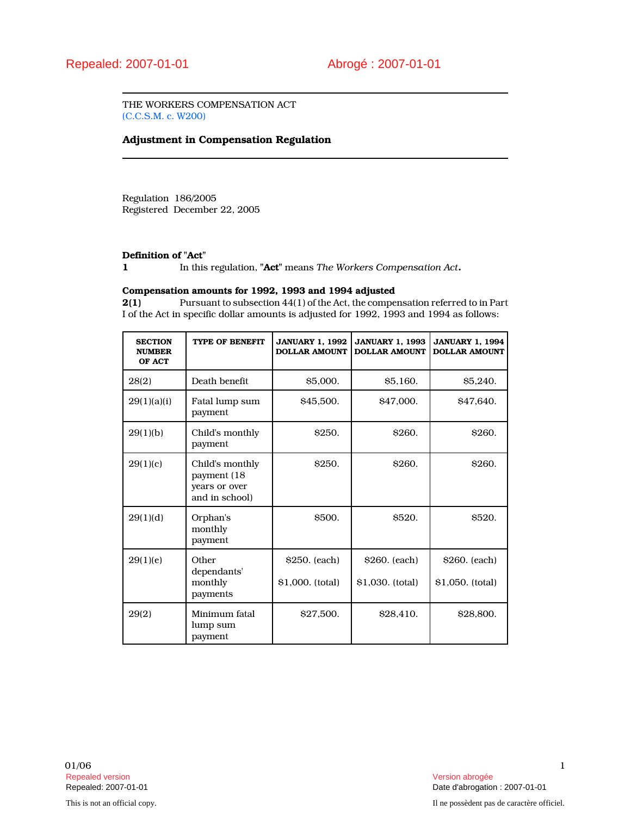THE WORKERS COMPENSATION ACT (C.C.S.M. c. W200)

## Adjustment in Compensation Regulation

Regulation 186/2005 Registered December 22, 2005

# **Definition of "Act"**<br>1 In this

In this regulation, "Act" means The Workers Compensation Act.

### Compensation amounts for 1992, 1993 and 1994 adjusted

2(1) Pursuant to subsection 44(1) of the Act, the compensation referred to in Part I of the Act in specific dollar amounts is adjusted for 1992, 1993 and 1994 as follows:

| <b>SECTION</b><br><b>NUMBER</b><br>OF ACT | <b>TYPE OF BENEFIT</b>                                             | <b>JANUARY 1, 1992</b><br><b>DOLLAR AMOUNT</b> | <b>JANUARY 1, 1993</b><br><b>DOLLAR AMOUNT</b> | <b>JANUARY 1, 1994</b><br><b>DOLLAR AMOUNT</b> |
|-------------------------------------------|--------------------------------------------------------------------|------------------------------------------------|------------------------------------------------|------------------------------------------------|
| 28(2)                                     | Death benefit                                                      | \$5,000.                                       | \$5,160.                                       | \$5,240.                                       |
| 29(1)(a)(i)                               | Fatal lump sum<br>payment                                          | \$45,500.                                      | \$47,000.                                      | \$47,640.                                      |
| 29(1)(b)                                  | Child's monthly<br>payment                                         | <b>S250.</b>                                   | <b>S260.</b>                                   | <b>\$260.</b>                                  |
| 29(1)(c)                                  | Child's monthly<br>payment (18)<br>vears or over<br>and in school) | <b>S250.</b>                                   | <b>S260.</b>                                   | <b>\$260.</b>                                  |
| 29(1)(d)                                  | Orphan's<br>monthly<br>payment                                     | <b>S500.</b>                                   | <b>\$520.</b>                                  | <b>S520.</b>                                   |
| 29(1)(e)                                  | Other<br>dependants'                                               | \$250. (each)                                  | \$260. (each)                                  | \$260. (each)                                  |
|                                           | monthly<br>payments                                                | \$1,000. (total)                               | \$1,030. (total)                               | \$1,050. (total)                               |
| 29(2)                                     | Minimum fatal<br>lump sum<br>payment                               | \$27,500.                                      | S <sub>28</sub> .410.                          | <b>S28,800.</b>                                |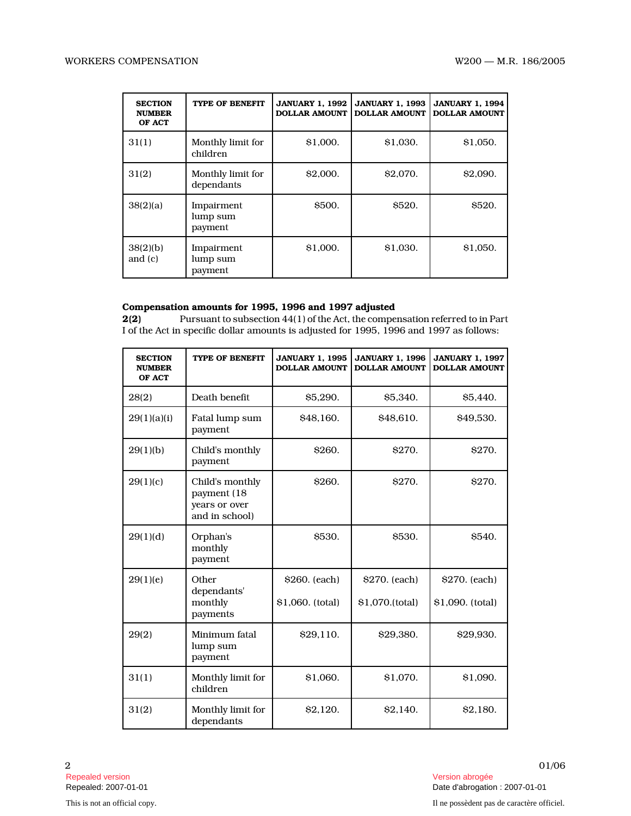| <b>SECTION</b><br><b>NUMBER</b><br>OF ACT | TYPE OF BENEFIT                   | <b>JANUARY 1, 1992</b><br><b>DOLLAR AMOUNT</b> | <b>JANUARY 1, 1993</b><br><b>DOLLAR AMOUNT</b> | <b>JANUARY 1, 1994</b><br><b>DOLLAR AMOUNT</b> |
|-------------------------------------------|-----------------------------------|------------------------------------------------|------------------------------------------------|------------------------------------------------|
| 31(1)                                     | Monthly limit for<br>children     | \$1,000.                                       | \$1,030.                                       | \$1,050.                                       |
| 31(2)                                     | Monthly limit for<br>dependants   | \$2,000.                                       | \$2,070.                                       | \$2,090.                                       |
| 38(2)(a)                                  | Impairment<br>lump sum<br>payment | <b>S500.</b>                                   | <b>S520.</b>                                   | \$520.                                         |
| 38(2)(b)<br>and $(c)$                     | Impairment<br>lump sum<br>payment | \$1,000.                                       | \$1,030.                                       | \$1,050.                                       |

### Compensation amounts for 1995, 1996 and 1997 adjusted

2(2) Pursuant to subsection 44(1) of the Act, the compensation referred to in Part I of the Act in specific dollar amounts is adjusted for 1995, 1996 and 1997 as follows:

| <b>SECTION</b><br><b>NUMBER</b><br>OF ACT | <b>TYPE OF BENEFIT</b>                                             | <b>JANUARY 1, 1995</b><br><b>DOLLAR AMOUNT</b> | <b>JANUARY 1, 1996</b><br><b>DOLLAR AMOUNT</b> | <b>JANUARY 1, 1997</b><br><b>DOLLAR AMOUNT</b> |
|-------------------------------------------|--------------------------------------------------------------------|------------------------------------------------|------------------------------------------------|------------------------------------------------|
| 28(2)                                     | Death benefit                                                      | \$5,290.                                       | \$5,340.                                       | S5.440.                                        |
| 29(1)(a)(i)                               | Fatal lump sum<br>payment                                          | \$48,160.                                      | \$48,610.                                      | \$49,530.                                      |
| 29(1)(b)                                  | Child's monthly<br>payment                                         | <b>S260.</b>                                   | <b>S270.</b>                                   | <b>S270.</b>                                   |
| 29(1)(c)                                  | Child's monthly<br>payment (18)<br>years or over<br>and in school) | <b>S260.</b>                                   | <b>S270.</b>                                   | <b>S270.</b>                                   |
| 29(1)(d)                                  | Orphan's<br>monthly<br>payment                                     | <b>S530.</b>                                   | <b>S530.</b>                                   | S540.                                          |
| 29(1)(e)                                  | Other<br>dependants'<br>monthly<br>payments                        | \$260. (each)<br>\$1,060. (total)              | \$270. (each)<br>\$1,070.(total)               | \$270. (each)<br>\$1,090. (total)              |
| 29(2)                                     | Minimum fatal<br>lump sum<br>payment                               | <b>\$29.110.</b>                               | \$29,380.                                      | \$29,930.                                      |
| 31(1)                                     | Monthly limit for<br>children                                      | \$1,060.                                       | \$1,070.                                       | \$1,090.                                       |
| 31(2)                                     | Monthly limit for<br>dependants                                    | \$2,120.                                       | <b>S2.140.</b>                                 | <b>\$2.180.</b>                                |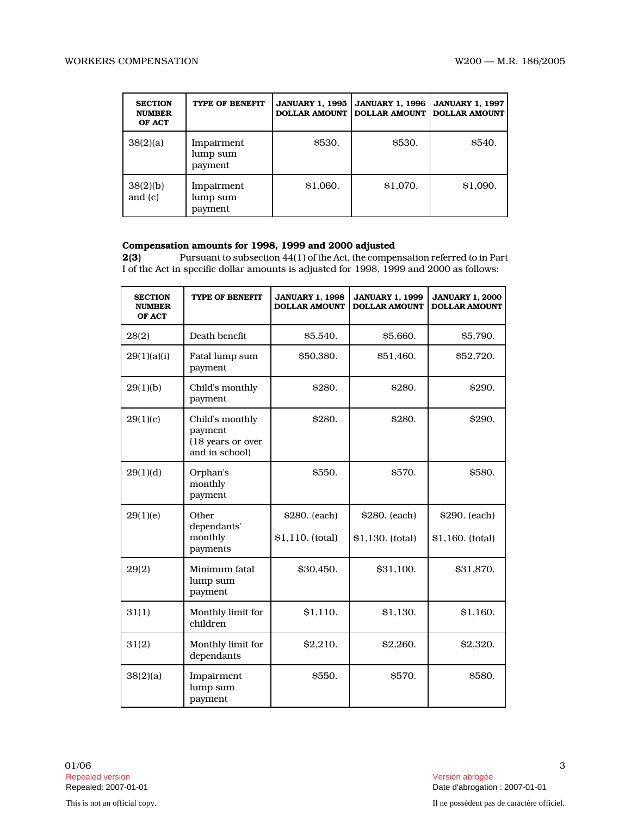| <b>SECTION</b><br><b>NUMBER</b><br>OF ACT | <b>TYPE OF BENEFIT</b>            | <b>JANUARY 1, 1995</b><br><b>DOLLAR AMOUNT</b> | <b>JANUARY 1, 1996</b><br><b>DOLLAR AMOUNT</b> | <b>JANUARY 1, 1997</b><br><b>DOLLAR AMOUNT</b> |
|-------------------------------------------|-----------------------------------|------------------------------------------------|------------------------------------------------|------------------------------------------------|
| 38(2)(a)                                  | Impairment<br>lump sum<br>payment | <b>S530.</b>                                   | <b>\$530.</b>                                  | <b>\$540.</b>                                  |
| 38(2)(b)<br>and $(c)$                     | Impairment<br>lump sum<br>payment | \$1.060.                                       | \$1.070.                                       | \$1.090.                                       |

# **Compensation amounts for 1998, 1999 and 2000 adjusted**  $2(3)$  Pursuant to subsection  $44(1)$  of the Act, the comper

Pursuant to subsection 44(1) of the Act, the compensation referred to in Part I of the Act in specific dollar amounts is adjusted for 1998, 1999 and 2000 as follows:

| <b>SECTION</b><br><b>NUMBER</b><br>OF ACT | <b>TYPE OF BENEFIT</b>                                            | <b>JANUARY 1, 1998</b><br><b>DOLLAR AMOUNT</b> | <b>JANUARY 1, 1999</b><br><b>DOLLAR AMOUNT</b> | <b>JANUARY 1, 2000</b><br><b>DOLLAR AMOUNT</b> |
|-------------------------------------------|-------------------------------------------------------------------|------------------------------------------------|------------------------------------------------|------------------------------------------------|
| 28(2)                                     | Death benefit                                                     | \$5.540.                                       | \$5,660.                                       | \$5.790.                                       |
| 29(1)(a)(i)                               | Fatal lump sum<br>payment                                         | \$50,380.                                      | \$51,460.                                      | \$52,720.                                      |
| 29(1)(b)                                  | Child's monthly<br>payment                                        | \$280.                                         | <b>\$280.</b>                                  | <b>\$290.</b>                                  |
| 29(1)(c)                                  | Child's monthly<br>payment<br>(18 years or over<br>and in school) | \$280.                                         | <b>\$280.</b>                                  | <b>\$290.</b>                                  |
| 29(1)(d)                                  | Orphan's<br>monthly<br>payment                                    | \$550.                                         | \$570.                                         | <b>\$580.</b>                                  |
| 29(1)(e)                                  | Other<br>dependants'<br>monthly<br>payments                       | \$280. (each)<br>\$1,110. (total)              | \$280. (each)<br>\$1,130. (total)              | \$290. (each)<br>\$1,160. (total)              |
| 29(2)                                     | Minimum fatal<br>lump sum<br>payment                              | \$30,450.                                      | \$31,100.                                      | \$31,870.                                      |
| 31(1)                                     | Monthly limit for<br>children                                     | \$1,110.                                       | \$1,130.                                       | \$1,160.                                       |
| 31(2)                                     | Monthly limit for<br>dependants                                   | \$2,210.                                       | \$2.260.                                       | \$2,320.                                       |
| 38(2)(a)                                  | Impairment<br>lump sum<br>payment                                 | <b>S550.</b>                                   | <b>\$570.</b>                                  | <b>\$580.</b>                                  |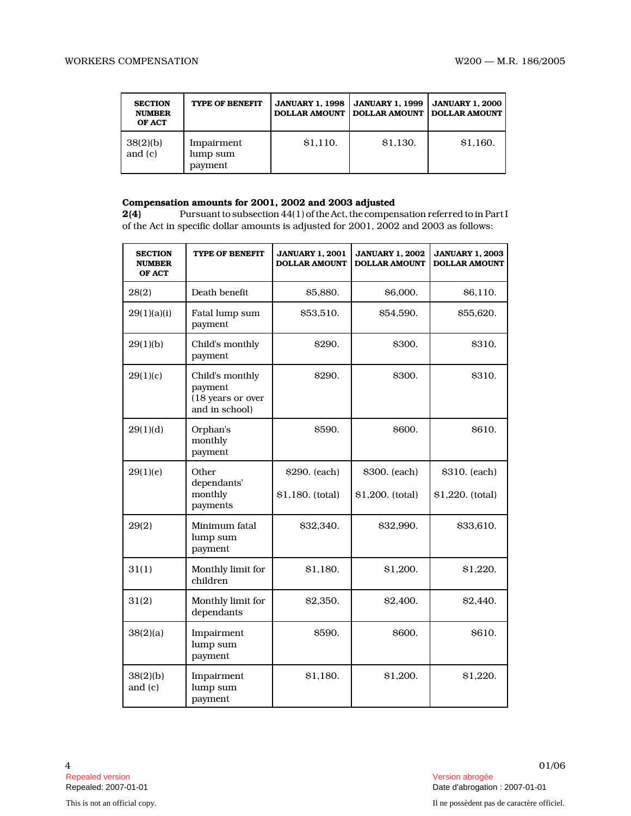| <b>SECTION</b><br><b>NUMBER</b><br>OF ACT | <b>TYPE OF BENEFIT</b>            | <b>JANUARY 1.1998</b><br><b>DOLLAR AMOUNT</b> | <b>JANUARY 1, 1999</b><br><b>DOLLAR AMOUNT</b> | <b>JANUARY 1.2000</b><br><b>DOLLAR AMOUNT</b> |
|-------------------------------------------|-----------------------------------|-----------------------------------------------|------------------------------------------------|-----------------------------------------------|
| 38(2)(b)<br>and $(c)$                     | Impairment<br>lump sum<br>payment | \$1,110.                                      | \$1,130.                                       | \$1,160.                                      |

## Compensation amounts for 2001, 2002 and 2003 adjusted

2(4) Pursuant to subsection 44(1) of the Act, the compensation referred to in Part I of the Act in specific dollar amounts is adjusted for 2001, 2002 and 2003 as follows:

| <b>SECTION</b><br><b>NUMBER</b><br>OF ACT | <b>TYPE OF BENEFIT</b>                                            | <b>JANUARY 1, 2001</b><br><b>DOLLAR AMOUNT</b> | <b>JANUARY 1, 2002</b><br><b>DOLLAR AMOUNT</b> | <b>JANUARY 1, 2003</b><br><b>DOLLAR AMOUNT</b> |
|-------------------------------------------|-------------------------------------------------------------------|------------------------------------------------|------------------------------------------------|------------------------------------------------|
| 28(2)                                     | Death benefit                                                     | \$5,880.                                       | \$6,000.                                       | \$6,110.                                       |
| 29(1)(a)(i)                               | Fatal lump sum<br>payment                                         | \$53,510.                                      | \$54,590.                                      | \$55,620.                                      |
| 29(1)(b)                                  | Child's monthly<br>payment                                        | \$290.                                         | \$300.                                         | \$310.                                         |
| 29(1)(c)                                  | Child's monthly<br>payment<br>(18 years or over<br>and in school) | <b>S290.</b>                                   | \$300.                                         | \$310.                                         |
| 29(1)(d)                                  | Orphan's<br>monthly<br>payment                                    | S590.                                          | <b>S600.</b>                                   | <b>S610.</b>                                   |
| 29(1)(e)                                  | Other<br>dependants'                                              | \$290. (each)                                  | \$300. (each)                                  | \$310. (each)                                  |
|                                           | monthly<br>payments                                               | \$1,180. (total)                               | \$1,200. (total)                               | \$1,220. (total)                               |
| 29(2)                                     | Minimum fatal<br>lump sum<br>payment                              | \$32,340.                                      | \$32,990.                                      | \$33,610.                                      |
| 31(1)                                     | Monthly limit for<br>children                                     | \$1,180.                                       | \$1,200.                                       | \$1,220.                                       |
| 31(2)                                     | Monthly limit for<br>dependants                                   | \$2,350.                                       | \$2,400.                                       | \$2,440.                                       |
| 38(2)(a)                                  | Impairment<br>lump sum<br>payment                                 | S590.                                          | <b>\$600.</b>                                  | S610.                                          |
| 38(2)(b)<br>and (c)                       | Impairment<br>lump sum<br>payment                                 | \$1,180.                                       | \$1,200.                                       | \$1,220.                                       |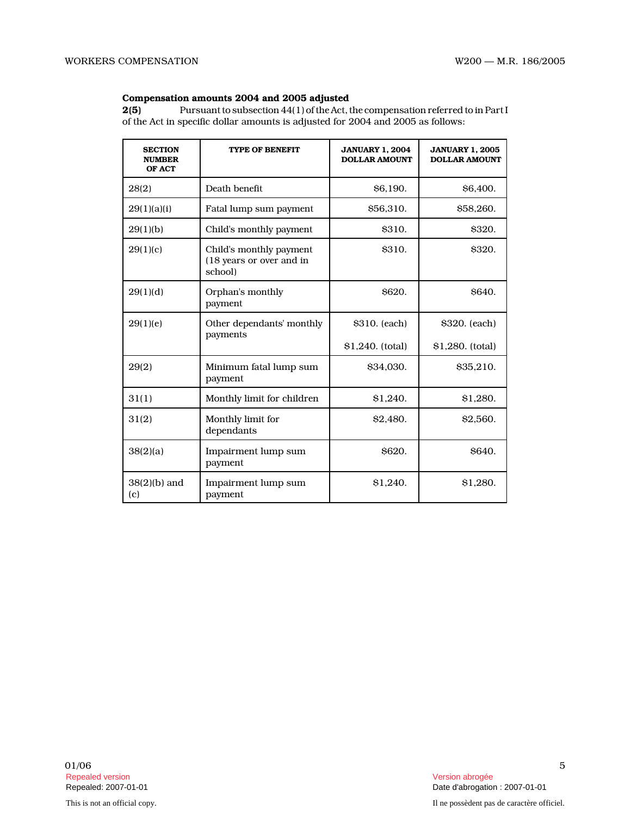### Compensation amounts 2004 and 2005 adjusted

2(5) Pursuant to subsection 44(1) of the Act, the compensation referred to in Part I of the Act in specific dollar amounts is adjusted for 2004 and 2005 as follows:

| <b>SECTION</b><br><b>NUMBER</b><br>OF ACT | <b>TYPE OF BENEFIT</b>                                         | <b>JANUARY 1, 2004</b><br><b>DOLLAR AMOUNT</b> | <b>JANUARY 1, 2005</b><br><b>DOLLAR AMOUNT</b> |
|-------------------------------------------|----------------------------------------------------------------|------------------------------------------------|------------------------------------------------|
| 28(2)                                     | Death benefit                                                  | S <sub>6.190</sub> .                           | \$6,400.                                       |
| 29(1)(a)(i)                               | Fatal lump sum payment                                         | \$56,310.                                      | \$58,260.                                      |
| 29(1)(b)                                  | Child's monthly payment                                        | <b>S310.</b>                                   | <b>\$320.</b>                                  |
| 29(1)(c)                                  | Child's monthly payment<br>(18 years or over and in<br>school) | <b>\$310.</b>                                  | <b>\$320.</b>                                  |
| 29(1)(d)                                  | Orphan's monthly<br>payment                                    | <b>S620.</b>                                   | <b>S640.</b>                                   |
| 29(1)(e)                                  | Other dependants' monthly                                      | \$310. (each)                                  | \$320. (each)                                  |
|                                           | payments                                                       | \$1,240. (total)                               | \$1,280. (total)                               |
| 29(2)                                     | Minimum fatal lump sum<br>payment                              | \$34,030.                                      | \$35,210.                                      |
| 31(1)                                     | Monthly limit for children                                     | \$1,240.                                       | \$1,280.                                       |
| 31(2)                                     | Monthly limit for<br>dependants                                | \$2,480.                                       | \$2,560.                                       |
| 38(2)(a)                                  | Impairment lump sum<br>payment                                 | <b>S620.</b>                                   | <b>S640.</b>                                   |
| $38(2)(b)$ and<br>(c)                     | Impairment lump sum<br>payment                                 | \$1.240.                                       | \$1.280.                                       |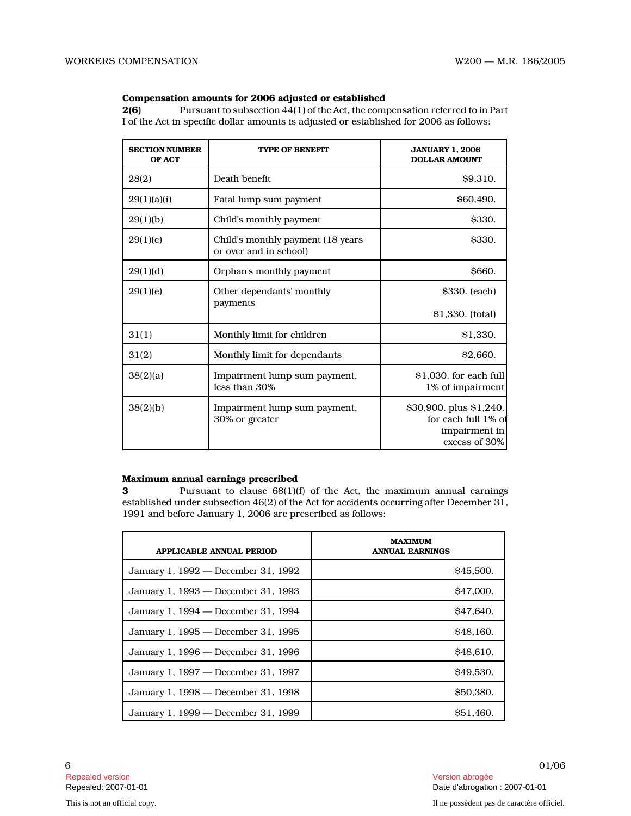#### Compensation amounts for 2006 adjusted or established

2(6) Pursuant to subsection 44(1) of the Act, the compensation referred to in Part I of the Act in specific dollar amounts is adjusted or established for 2006 as follows:

| <b>SECTION NUMBER</b><br>OF ACT | <b>TYPE OF BENEFIT</b>                                      | <b>JANUARY 1, 2006</b><br><b>DOLLAR AMOUNT</b>                                   |
|---------------------------------|-------------------------------------------------------------|----------------------------------------------------------------------------------|
| 28(2)                           | Death benefit                                               | \$9,310.                                                                         |
| 29(1)(a)(i)                     | Fatal lump sum payment                                      | \$60,490.                                                                        |
| 29(1)(b)                        | Child's monthly payment                                     | \$330.                                                                           |
| 29(1)(c)                        | Child's monthly payment (18 years<br>or over and in school) | <b>\$330.</b>                                                                    |
| 29(1)(d)                        | Orphan's monthly payment                                    | \$660.                                                                           |
| 29(1)(e)                        | Other dependants' monthly                                   | \$330. (each)                                                                    |
|                                 | payments                                                    | \$1,330. (total)                                                                 |
| 31(1)                           | Monthly limit for children                                  | \$1,330.                                                                         |
| 31(2)                           | Monthly limit for dependants                                | \$2,660.                                                                         |
| 38(2)(a)                        | Impairment lump sum payment,<br>less than 30%               | \$1,030. for each full<br>1% of impairment                                       |
| 38(2)(b)                        | Impairment lump sum payment,<br>30% or greater              | \$30,900. plus \$1,240.<br>for each full 1% of<br>impairment in<br>excess of 30% |

#### Maximum annual earnings prescribed

3 Pursuant to clause 68(1)(f) of the Act, the maximum annual earnings established under subsection 46(2) of the Act for accidents occurring after December 31, 1991 and before January 1, 2006 are prescribed as follows:

| <b>APPLICABLE ANNUAL PERIOD</b>     | <b>MAXIMUM</b><br><b>ANNUAL EARNINGS</b> |
|-------------------------------------|------------------------------------------|
| January 1, 1992 — December 31, 1992 | \$45,500.                                |
| January 1, 1993 — December 31, 1993 | \$47,000.                                |
| January 1, 1994 — December 31, 1994 | \$47.640.                                |
| January 1, 1995 — December 31, 1995 | \$48,160.                                |
| January 1, 1996 — December 31, 1996 | \$48,610.                                |
| January 1, 1997 — December 31, 1997 | \$49.530.                                |
| January 1, 1998 – December 31, 1998 | \$50,380.                                |
| January 1, 1999 — December 31, 1999 | \$51.460.                                |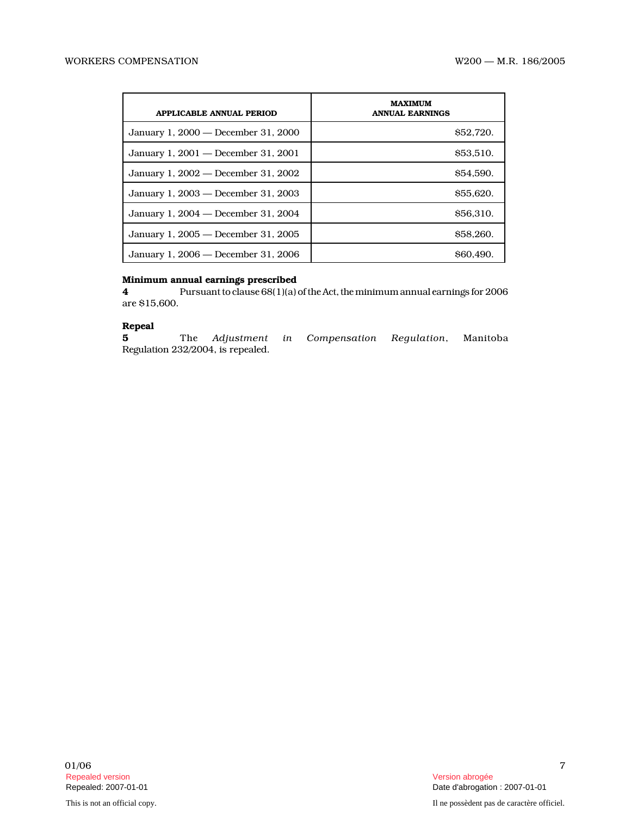| <b>APPLICABLE ANNUAL PERIOD</b>     | <b>MAXIMUM</b><br><b>ANNUAL EARNINGS</b> |
|-------------------------------------|------------------------------------------|
| January 1, 2000 — December 31, 2000 | \$52,720.                                |
| January 1, 2001 – December 31, 2001 | <b>S53.510.</b>                          |
| January 1, 2002 — December 31, 2002 | <b>S54.590.</b>                          |
| January 1, 2003 — December 31, 2003 | \$55,620.                                |
| January 1, 2004 — December 31, 2004 | \$56,310.                                |
| January 1, 2005 — December 31, 2005 | \$58,260.                                |
| January 1, 2006 — December 31, 2006 | S60.490.                                 |

### Minimum annual earnings prescribed

4 Pursuant to clause 68(1)(a) of the Act, the minimum annual earnings for 2006 are \$15,600.

### Repeal

5 The Adjustment in Compensation Regulation, Manitoba Regulation 232/2004, is repealed.